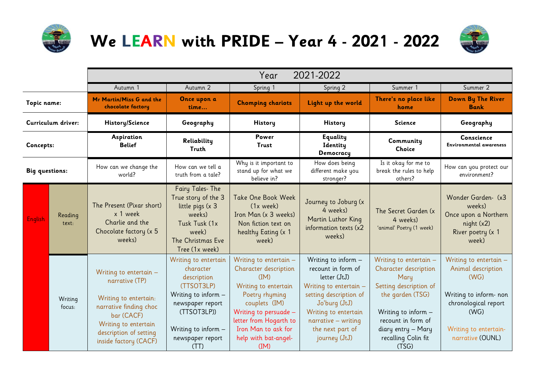

## **We LEARN with PRIDE – Year 4 - 2021 - 2022**



|                       |                   | 2021-2022<br>Year                                                                                                                                                                      |                                                                                                                                                                             |                                                                                                                                                                                                                              |                                                                                                                                                                                                                      |                                                                                                                                                                                                          |                                                                                                                                                            |
|-----------------------|-------------------|----------------------------------------------------------------------------------------------------------------------------------------------------------------------------------------|-----------------------------------------------------------------------------------------------------------------------------------------------------------------------------|------------------------------------------------------------------------------------------------------------------------------------------------------------------------------------------------------------------------------|----------------------------------------------------------------------------------------------------------------------------------------------------------------------------------------------------------------------|----------------------------------------------------------------------------------------------------------------------------------------------------------------------------------------------------------|------------------------------------------------------------------------------------------------------------------------------------------------------------|
|                       |                   | Autumn 1                                                                                                                                                                               | Autumn 2                                                                                                                                                                    | Spring 1                                                                                                                                                                                                                     | Spring 2                                                                                                                                                                                                             | Summer 1                                                                                                                                                                                                 | Summer 2                                                                                                                                                   |
| Topic name:           |                   | Mr Martin/Miss G and the<br>chocolate factory                                                                                                                                          | Once upon a<br>time                                                                                                                                                         | <b>Chomping chariots</b>                                                                                                                                                                                                     | Light up the world                                                                                                                                                                                                   | There's no place like<br>home                                                                                                                                                                            | Down By The River<br><b>Bank</b>                                                                                                                           |
| Curriculum driver:    |                   | History/Science                                                                                                                                                                        | Geography                                                                                                                                                                   | <b>History</b>                                                                                                                                                                                                               | History                                                                                                                                                                                                              | <b>Science</b>                                                                                                                                                                                           | Geography                                                                                                                                                  |
| Concepts:             |                   | Aspiration<br><b>Belief</b>                                                                                                                                                            | Reliability<br><b>Truth</b>                                                                                                                                                 | Power<br><b>Trust</b>                                                                                                                                                                                                        | Equality<br>Identity<br>Democracy                                                                                                                                                                                    | Community<br>Choice                                                                                                                                                                                      | Conscience<br><b>Environmental awareness</b>                                                                                                               |
| <b>Big questions:</b> |                   | How can we change the<br>world?                                                                                                                                                        | How can we tell a<br>truth from a tale?                                                                                                                                     | Why is it important to<br>stand up for what we<br>believe in?                                                                                                                                                                | How does being<br>different make you<br>stronger?                                                                                                                                                                    | Is it okay for me to<br>break the rules to help<br>others?                                                                                                                                               | How can you protect our<br>environment?                                                                                                                    |
| <b>English</b>        | Reading<br>text:  | The Present (Pixar short)<br>x 1 week<br>Charlie and the<br>Chocolate factory (x 5<br>weeks)                                                                                           | Fairy Tales- The<br>True story of the 3<br>little pigs (x 3<br>weeks)<br>Tusk Tusk (1x<br>week)<br>The Christmas Eve<br>Tree (1x week)                                      | Take One Book Week<br>$(1x$ week)<br>Iron Man (x 3 weeks)<br>Non fiction text on<br>healthy Eating (x 1<br>week)                                                                                                             | Journey to Joburg (x<br>4 weeks)<br>Martin Luthor King<br>information texts (x2<br>weeks)                                                                                                                            | The Secret Garden (x<br>4 weeks)<br>'animal' Poetry (1 week)                                                                                                                                             | Wonder Garden- (x3<br>weeks)<br>Once upon a Northern<br>night (x2)<br>River poetry (x 1<br>week)                                                           |
|                       | Writing<br>focus: | Writing to entertain $-$<br>narrative (TP)<br>Writing to entertain:<br>narrative finding choc<br>bar (CACF)<br>Writing to entertain<br>description of setting<br>inside factory (CACF) | Writing to entertain<br>character<br>description<br>(TTSOT3LP)<br>Writing to inform -<br>newspaper report<br>(TTSOT3LP))<br>Writing to inform -<br>newspaper report<br>(TT) | Writing to entertain -<br>Character description<br>(IM)<br>Writing to entertain<br>Poetry rhyming<br>couplets (IM)<br>Writing to persuade -<br>letter from Hogarth to<br>Iron Man to ask for<br>help with bat-angel-<br>(IM) | Writing to inform $-$<br>recount in form of<br>letter (JtJ)<br>Writing to entertain -<br>setting description of<br>Jo'burg (JtJ)<br>Writing to entertain<br>narrative - writing<br>the next part of<br>journey (JtJ) | Writing to entertain -<br>Character description<br>Mary<br>Setting description of<br>the garden (TSG)<br>Writing to inform -<br>recount in form of<br>diary entry - Mary<br>recalling Colin fit<br>(TSG) | Writing to entertain -<br>Animal description<br>(WG)<br>Writing to inform-non<br>chronological report<br>(WG)<br>Writing to entertain-<br>narrative (OUNL) |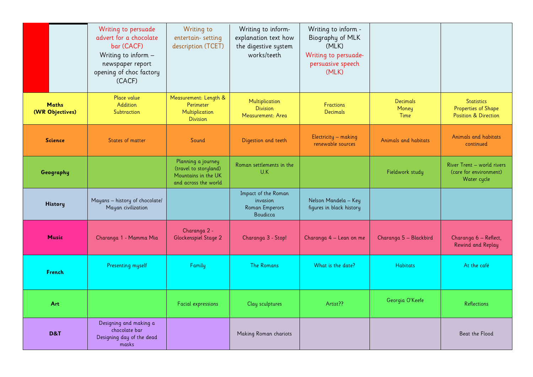|                                 | Writing to persuade<br>advert for a chocolate<br>bar (CACF)<br>Writing to inform -<br>newspaper report<br>opening of choc factory<br>(CACF) | Writing to<br>entertain-setting<br>description (TCET)                                      | Writing to inform-<br>explanation text how<br>the digestive system<br>works/teeth | Writing to inform -<br>Biography of MLK<br>(MLK)<br>Writing to persuade-<br>persuasive speech<br>(MLK) |                                  |                                                                             |
|---------------------------------|---------------------------------------------------------------------------------------------------------------------------------------------|--------------------------------------------------------------------------------------------|-----------------------------------------------------------------------------------|--------------------------------------------------------------------------------------------------------|----------------------------------|-----------------------------------------------------------------------------|
| <b>Maths</b><br>(WR Objectives) | Place value<br>Addition<br>Subtraction                                                                                                      | Measurement: Length &<br>Perimeter<br>Multiplication<br><b>Division</b>                    | Multiplication<br><b>Division</b><br>Measurement: Area                            | <b>Fractions</b><br><b>Decimals</b>                                                                    | <b>Decimals</b><br>Money<br>Time | <b>Statistics</b><br>Properties of Shape<br><b>Position &amp; Direction</b> |
| <b>Science</b>                  | States of matter                                                                                                                            | Sound                                                                                      | Digestion and teeth                                                               | Electricity - making<br>renewable sources                                                              | Animals and habitats             | Animals and habitats<br>continued                                           |
| Geography                       |                                                                                                                                             | Planning a journey<br>(travel to storyland)<br>Mountains in the UK<br>and across the world | Roman settlements in the<br>U.K                                                   |                                                                                                        | Fieldwork study                  | River Trent - world rivers<br>(care for environment)<br>Water cycle         |
| <b>History</b>                  | Mayans - history of chocolate/<br>Mayan civilization                                                                                        |                                                                                            | Impact of the Roman<br>invasion<br><b>Roman Emperors</b><br>Boudicca              | Nelson Mandela - Key<br>figures in black history                                                       |                                  |                                                                             |
| <b>Music</b>                    | Charanga 1 - Mamma Mia                                                                                                                      | Charanga 2 -<br>Glockenspiel Stage 2                                                       | Charanga 3 - Stop!                                                                | Charanga 4 - Lean on me                                                                                | Charanga 5 - Blackbird           | Charanga 6 - Reflect,<br>Rewind and Replay                                  |
| French                          | <b>Presenting myself</b>                                                                                                                    | Family                                                                                     | <b>The Romans</b>                                                                 | What is the date?                                                                                      | <b>Habitats</b>                  | At the café                                                                 |
| Art                             |                                                                                                                                             | <b>Facial expressions</b>                                                                  | Clay sculptures                                                                   | Artist??                                                                                               | Georgia O'Keefe                  | <b>Reflections</b>                                                          |
| <b>D&amp;T</b>                  | Designing and making a<br>chocolate bar<br>Designing day of the dead<br>masks                                                               |                                                                                            | Making Roman chariots                                                             |                                                                                                        |                                  | Beat the Flood                                                              |